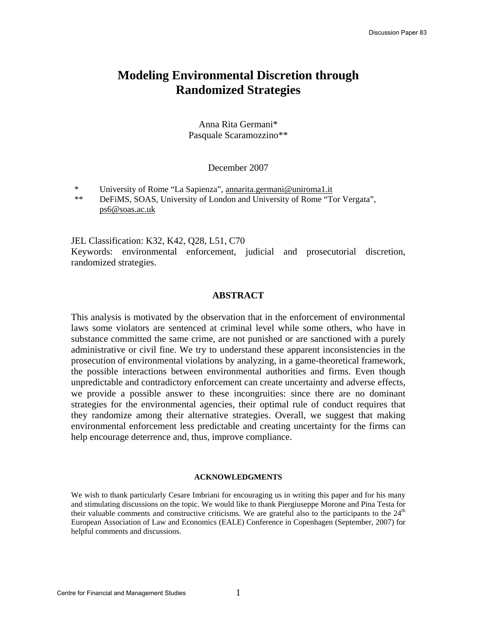# **Modeling Environmental Discretion through Randomized Strategies**

Anna Rita Germani\* Pasquale Scaramozzino\*\*

December 2007

- University of Rome "La Sapienza", [annarita.germani@uniroma1.it](mailto:annarita.germani@uniroma1.it)
- \*\* DeFiMS, SOAS, University of London and University of Rome "Tor Vergata", [ps6@soas.ac.uk](mailto:ps6@soas.ac.uk)

JEL Classification: K32, K42, Q28, L51, C70 Keywords: environmental enforcement, judicial and prosecutorial discretion, randomized strategies.

### **ABSTRACT**

This analysis is motivated by the observation that in the enforcement of environmental laws some violators are sentenced at criminal level while some others, who have in substance committed the same crime, are not punished or are sanctioned with a purely administrative or civil fine. We try to understand these apparent inconsistencies in the prosecution of environmental violations by analyzing, in a game-theoretical framework, the possible interactions between environmental authorities and firms. Even though unpredictable and contradictory enforcement can create uncertainty and adverse effects, we provide a possible answer to these incongruities: since there are no dominant strategies for the environmental agencies, their optimal rule of conduct requires that they randomize among their alternative strategies. Overall, we suggest that making environmental enforcement less predictable and creating uncertainty for the firms can help encourage deterrence and, thus, improve compliance.

#### **ACKNOWLEDGMENTS**

We wish to thank particularly Cesare Imbriani for encouraging us in writing this paper and for his many and stimulating discussions on the topic. We would like to thank Piergiuseppe Morone and Pina Testa for their valuable comments and constructive criticisms. We are grateful also to the participants to the 24<sup>th</sup> European Association of Law and Economics (EALE) Conference in Copenhagen (September, 2007) for helpful comments and discussions.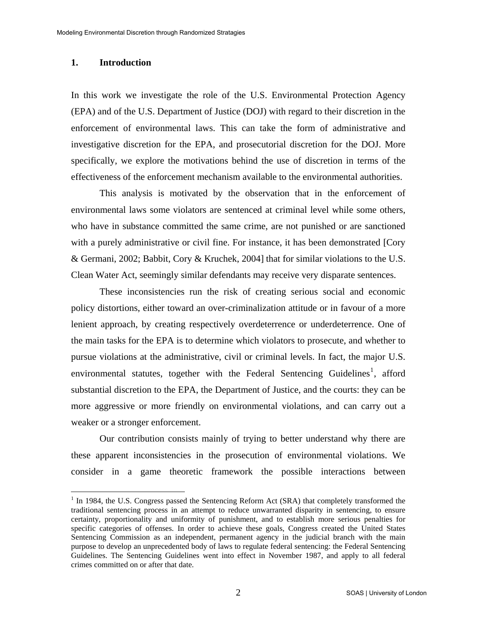### **1. Introduction**

 $\overline{a}$ 

In this work we investigate the role of the U.S. Environmental Protection Agency (EPA) and of the U.S. Department of Justice (DOJ) with regard to their discretion in the enforcement of environmental laws. This can take the form of administrative and investigative discretion for the EPA, and prosecutorial discretion for the DOJ. More specifically, we explore the motivations behind the use of discretion in terms of the effectiveness of the enforcement mechanism available to the environmental authorities.

 This analysis is motivated by the observation that in the enforcement of environmental laws some violators are sentenced at criminal level while some others, who have in substance committed the same crime, are not punished or are sanctioned with a purely administrative or civil fine. For instance, it has been demonstrated [Cory & Germani, 2002; Babbit, Cory & Kruchek, 2004] that for similar violations to the U.S. Clean Water Act, seemingly similar defendants may receive very disparate sentences.

 These inconsistencies run the risk of creating serious social and economic policy distortions, either toward an over-criminalization attitude or in favour of a more lenient approach, by creating respectively overdeterrence or underdeterrence. One of the main tasks for the EPA is to determine which violators to prosecute, and whether to pursue violations at the administrative, civil or criminal levels. In fact, the major U.S. environmental statutes, together with the Federal Sentencing Guidelines<sup>[1](#page-1-0)</sup>, afford substantial discretion to the EPA, the Department of Justice, and the courts: they can be more aggressive or more friendly on environmental violations, and can carry out a weaker or a stronger enforcement.

 Our contribution consists mainly of trying to better understand why there are these apparent inconsistencies in the prosecution of environmental violations. We consider in a game theoretic framework the possible interactions between

<span id="page-1-0"></span><sup>&</sup>lt;sup>1</sup> In 1984, the U.S. Congress passed the Sentencing Reform Act (SRA) that completely transformed the traditional sentencing process in an attempt to reduce unwarranted disparity in sentencing, to ensure certainty, proportionality and uniformity of punishment, and to establish more serious penalties for specific categories of offenses. In order to achieve these goals, Congress created the United States Sentencing Commission as an independent, permanent agency in the judicial branch with the main purpose to develop an unprecedented body of laws to regulate federal sentencing: the Federal Sentencing Guidelines. The Sentencing Guidelines went into effect in November 1987, and apply to all federal crimes committed on or after that date.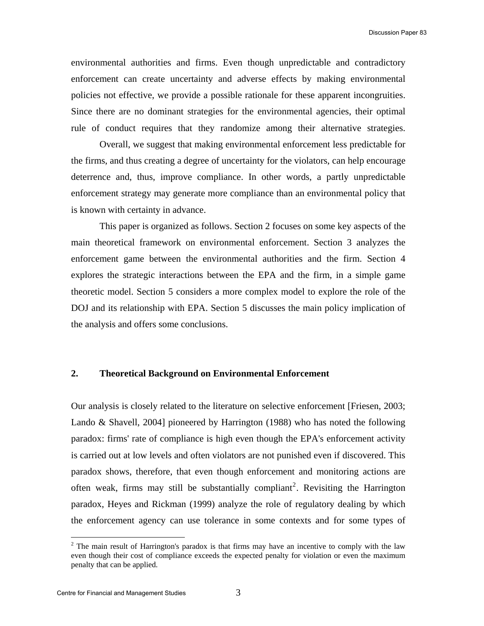environmental authorities and firms. Even though unpredictable and contradictory enforcement can create uncertainty and adverse effects by making environmental policies not effective, we provide a possible rationale for these apparent incongruities. Since there are no dominant strategies for the environmental agencies, their optimal rule of conduct requires that they randomize among their alternative strategies.

 Overall, we suggest that making environmental enforcement less predictable for the firms, and thus creating a degree of uncertainty for the violators, can help encourage deterrence and, thus, improve compliance. In other words, a partly unpredictable enforcement strategy may generate more compliance than an environmental policy that is known with certainty in advance.

This paper is organized as follows. Section 2 focuses on some key aspects of the main theoretical framework on environmental enforcement. Section 3 analyzes the enforcement game between the environmental authorities and the firm. Section 4 explores the strategic interactions between the EPA and the firm, in a simple game theoretic model. Section 5 considers a more complex model to explore the role of the DOJ and its relationship with EPA. Section 5 discusses the main policy implication of the analysis and offers some conclusions.

#### **2. Theoretical Background on Environmental Enforcement**

Our analysis is closely related to the literature on selective enforcement [Friesen, 2003; Lando & Shavell, 2004] pioneered by Harrington (1988) who has noted the following paradox: firms' rate of compliance is high even though the EPA's enforcement activity is carried out at low levels and often violators are not punished even if discovered. This paradox shows, therefore, that even though enforcement and monitoring actions are often weak, firms may still be substantially compliant<sup>[2](#page-2-0)</sup>. Revisiting the Harrington paradox, Heyes and Rickman (1999) analyze the role of regulatory dealing by which the enforcement agency can use tolerance in some contexts and for some types of

 $\overline{a}$ 

<span id="page-2-0"></span> $2^2$  The main result of Harrington's paradox is that firms may have an incentive to comply with the law even though their cost of compliance exceeds the expected penalty for violation or even the maximum penalty that can be applied.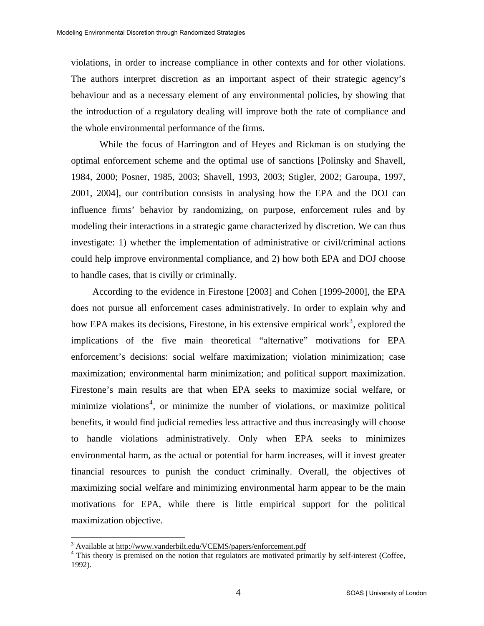violations, in order to increase compliance in other contexts and for other violations. The authors interpret discretion as an important aspect of their strategic agency's behaviour and as a necessary element of any environmental policies, by showing that the introduction of a regulatory dealing will improve both the rate of compliance and the whole environmental performance of the firms.

 While the focus of Harrington and of Heyes and Rickman is on studying the optimal enforcement scheme and the optimal use of sanctions [Polinsky and Shavell, 1984, 2000; Posner, 1985, 2003; Shavell, 1993, 2003; Stigler, 2002; Garoupa, 1997, 2001, 2004], our contribution consists in analysing how the EPA and the DOJ can influence firms' behavior by randomizing, on purpose, enforcement rules and by modeling their interactions in a strategic game characterized by discretion. We can thus investigate: 1) whether the implementation of administrative or civil/criminal actions could help improve environmental compliance, and 2) how both EPA and DOJ choose to handle cases, that is civilly or criminally.

According to the evidence in Firestone [2003] and Cohen [1999-2000], the EPA does not pursue all enforcement cases administratively. In order to explain why and how EPA makes its decisions, Firestone, in his extensive empirical work<sup>[3](#page-3-0)</sup>, explored the implications of the five main theoretical "alternative" motivations for EPA enforcement's decisions: social welfare maximization; violation minimization; case maximization; environmental harm minimization; and political support maximization. Firestone's main results are that when EPA seeks to maximize social welfare, or minimize violations<sup>[4](#page-3-1)</sup>, or minimize the number of violations, or maximize political benefits, it would find judicial remedies less attractive and thus increasingly will choose to handle violations administratively. Only when EPA seeks to minimizes environmental harm, as the actual or potential for harm increases, will it invest greater financial resources to punish the conduct criminally. Overall, the objectives of maximizing social welfare and minimizing environmental harm appear to be the main motivations for EPA, while there is little empirical support for the political maximization objective.

 $\overline{a}$ 

 $\frac{3}{4}$  Available at <u><http://www.vanderbilt.edu/VCEMS/papers/enforcement.pdf></u>  $\frac{4}{4}$ .

<span id="page-3-1"></span><span id="page-3-0"></span><sup>&</sup>lt;sup>4</sup> This theory is premised on the notion that regulators are motivated primarily by self-interest (Coffee, 1992).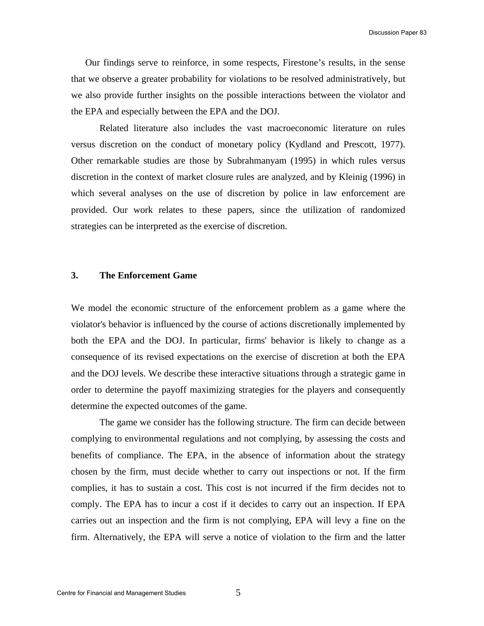Our findings serve to reinforce, in some respects, Firestone's results, in the sense that we observe a greater probability for violations to be resolved administratively, but we also provide further insights on the possible interactions between the violator and the EPA and especially between the EPA and the DOJ.

 Related literature also includes the vast macroeconomic literature on rules versus discretion on the conduct of monetary policy (Kydland and Prescott, 1977). Other remarkable studies are those by Subrahmanyam (1995) in which rules versus discretion in the context of market closure rules are analyzed, and by Kleinig (1996) in which several analyses on the use of discretion by police in law enforcement are provided. Our work relates to these papers, since the utilization of randomized strategies can be interpreted as the exercise of discretion.

### **3. The Enforcement Game**

We model the economic structure of the enforcement problem as a game where the violator's behavior is influenced by the course of actions discretionally implemented by both the EPA and the DOJ. In particular, firms' behavior is likely to change as a consequence of its revised expectations on the exercise of discretion at both the EPA and the DOJ levels. We describe these interactive situations through a strategic game in order to determine the payoff maximizing strategies for the players and consequently determine the expected outcomes of the game.

The game we consider has the following structure. The firm can decide between complying to environmental regulations and not complying, by assessing the costs and benefits of compliance. The EPA, in the absence of information about the strategy chosen by the firm, must decide whether to carry out inspections or not. If the firm complies, it has to sustain a cost. This cost is not incurred if the firm decides not to comply. The EPA has to incur a cost if it decides to carry out an inspection. If EPA carries out an inspection and the firm is not complying, EPA will levy a fine on the firm. Alternatively, the EPA will serve a notice of violation to the firm and the latter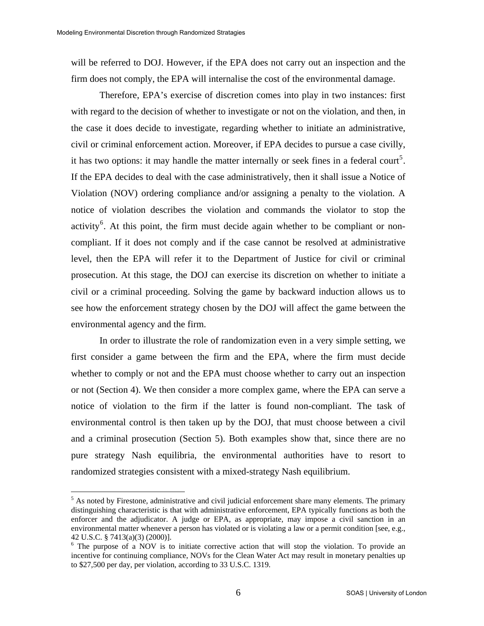$\overline{a}$ 

will be referred to DOJ. However, if the EPA does not carry out an inspection and the firm does not comply, the EPA will internalise the cost of the environmental damage.

Therefore, EPA's exercise of discretion comes into play in two instances: first with regard to the decision of whether to investigate or not on the violation, and then, in the case it does decide to investigate, regarding whether to initiate an administrative, civil or criminal enforcement action. Moreover, if EPA decides to pursue a case civilly, it has two options: it may handle the matter internally or seek fines in a federal court<sup>[5](#page-5-0)</sup>. If the EPA decides to deal with the case administratively, then it shall issue a Notice of Violation (NOV) ordering compliance and/or assigning a penalty to the violation. A notice of violation describes the violation and commands the violator to stop the activity<sup>[6](#page-5-1)</sup>. At this point, the firm must decide again whether to be compliant or noncompliant. If it does not comply and if the case cannot be resolved at administrative level, then the EPA will refer it to the Department of Justice for civil or criminal prosecution. At this stage, the DOJ can exercise its discretion on whether to initiate a civil or a criminal proceeding. Solving the game by backward induction allows us to see how the enforcement strategy chosen by the DOJ will affect the game between the environmental agency and the firm.

In order to illustrate the role of randomization even in a very simple setting, we first consider a game between the firm and the EPA, where the firm must decide whether to comply or not and the EPA must choose whether to carry out an inspection or not (Section 4). We then consider a more complex game, where the EPA can serve a notice of violation to the firm if the latter is found non-compliant. The task of environmental control is then taken up by the DOJ, that must choose between a civil and a criminal prosecution (Section 5). Both examples show that, since there are no pure strategy Nash equilibria, the environmental authorities have to resort to randomized strategies consistent with a mixed-strategy Nash equilibrium.

<span id="page-5-0"></span><sup>&</sup>lt;sup>5</sup> As noted by Firestone, administrative and civil judicial enforcement share many elements. The primary distinguishing characteristic is that with administrative enforcement, EPA typically functions as both the enforcer and the adjudicator. A judge or EPA, as appropriate, may impose a civil sanction in an environmental matter whenever a person has violated or is violating a law or a permit condition [see, e.g., 42 U.S.C. § 7413(a)(3) (2000)].

<span id="page-5-1"></span><sup>&</sup>lt;sup>6</sup> The purpose of a NOV is to initiate corrective action that will stop the violation. To provide an incentive for continuing compliance, NOVs for the Clean Water Act may result in monetary penalties up to \$27,500 per day, per violation, according to 33 U.S.C. 1319.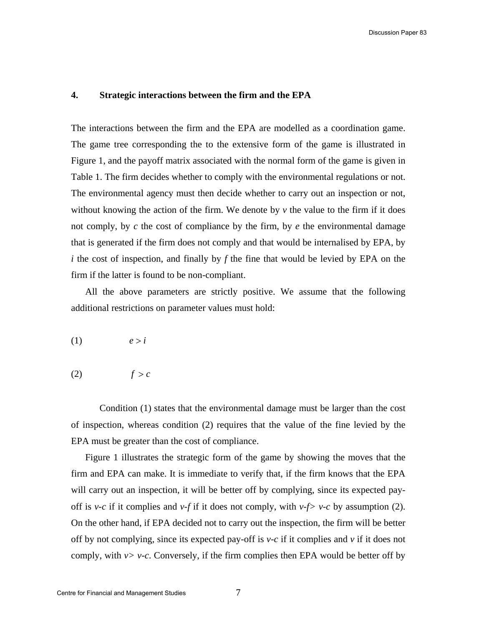#### **4. Strategic interactions between the firm and the EPA**

The interactions between the firm and the EPA are modelled as a coordination game. The game tree corresponding the to the extensive form of the game is illustrated in Figure 1, and the payoff matrix associated with the normal form of the game is given in Table 1. The firm decides whether to comply with the environmental regulations or not. The environmental agency must then decide whether to carry out an inspection or not, without knowing the action of the firm. We denote by  $\nu$  the value to the firm if it does not comply, by *c* the cost of compliance by the firm, by *e* the environmental damage that is generated if the firm does not comply and that would be internalised by EPA, by *i* the cost of inspection, and finally by *f* the fine that would be levied by EPA on the firm if the latter is found to be non-compliant.

All the above parameters are strictly positive. We assume that the following additional restrictions on parameter values must hold:

$$
(1) \t e > i
$$

$$
(2) \t\t f > c
$$

Condition (1) states that the environmental damage must be larger than the cost of inspection, whereas condition (2) requires that the value of the fine levied by the EPA must be greater than the cost of compliance.

Figure 1 illustrates the strategic form of the game by showing the moves that the firm and EPA can make. It is immediate to verify that, if the firm knows that the EPA will carry out an inspection, it will be better off by complying, since its expected payoff is *v-c* if it complies and *v-f* if it does not comply, with *v-f*> *v-c* by assumption (2). On the other hand, if EPA decided not to carry out the inspection, the firm will be better off by not complying, since its expected pay-off is *v-c* if it complies and *v* if it does not comply, with  $v > v-c$ . Conversely, if the firm complies then EPA would be better off by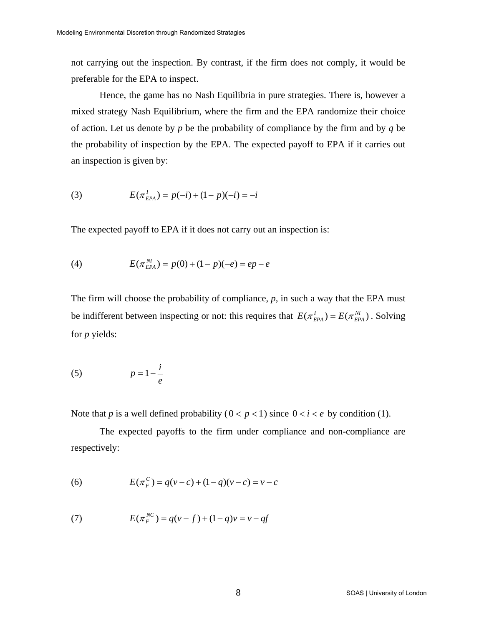not carrying out the inspection. By contrast, if the firm does not comply, it would be preferable for the EPA to inspect.

Hence, the game has no Nash Equilibria in pure strategies. There is, however a mixed strategy Nash Equilibrium, where the firm and the EPA randomize their choice of action. Let us denote by *p* be the probability of compliance by the firm and by *q* be the probability of inspection by the EPA. The expected payoff to EPA if it carries out an inspection is given by:

(3) 
$$
E(\pi_{EPA}^l) = p(-i) + (1-p)(-i) = -i
$$

The expected payoff to EPA if it does not carry out an inspection is:

(4) 
$$
E(\pi_{EPA}^{NI}) = p(0) + (1-p)(-e) = ep - e
$$

The firm will choose the probability of compliance, *p*, in such a way that the EPA must be indifferent between inspecting or not: this requires that  $E(\pi_{EPA}^I) = E(\pi_{EPA}^{N_I})$ . Solving for *p* yields:  $E(\pi_{EPA}^I) = E(\pi$ 

$$
(5) \t\t p = 1 - \frac{i}{e}
$$

Note that *p* is a well defined probability  $(0 < p < 1)$  since  $0 < i < e$  by condition (1).

The expected payoffs to the firm under compliance and non-compliance are respectively:

(6) 
$$
E(\pi_F^C) = q(v-c) + (1-q)(v-c) = v-c
$$

(7) 
$$
E(\pi_F^{NC}) = q(v - f) + (1 - q)v = v - qf
$$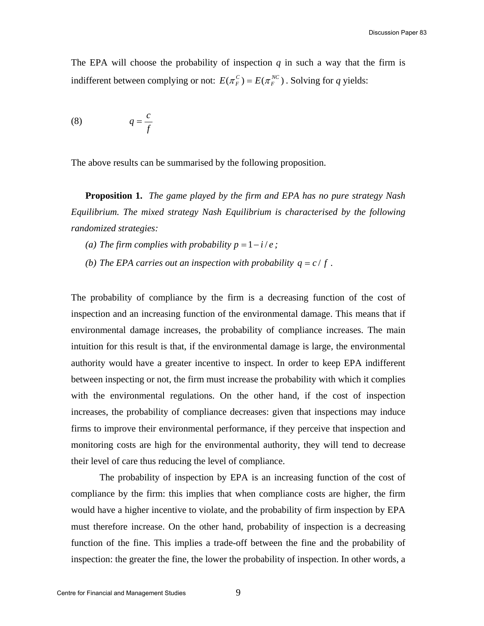The EPA will choose the probability of inspection  $q$  in such a way that the firm is indifferent between complying or not:  $E(\pi_F^C) = E(\pi_F^{NC})$ . Solving for *q* yields:  $E(\pi_F^C) = E(\pi$ 

$$
(8) \t q = \frac{c}{f}
$$

The above results can be summarised by the following proposition.

**Proposition 1.** *The game played by the firm and EPA has no pure strategy Nash Equilibrium. The mixed strategy Nash Equilibrium is characterised by the following randomized strategies:* 

- *(a) The firm complies with probability*  $p = 1 i/e$ ;
- *(b)* The EPA carries out an inspection with probability  $q = c / f$ .

The probability of compliance by the firm is a decreasing function of the cost of inspection and an increasing function of the environmental damage. This means that if environmental damage increases, the probability of compliance increases. The main intuition for this result is that, if the environmental damage is large, the environmental authority would have a greater incentive to inspect. In order to keep EPA indifferent between inspecting or not, the firm must increase the probability with which it complies with the environmental regulations. On the other hand, if the cost of inspection increases, the probability of compliance decreases: given that inspections may induce firms to improve their environmental performance, if they perceive that inspection and monitoring costs are high for the environmental authority, they will tend to decrease their level of care thus reducing the level of compliance.

The probability of inspection by EPA is an increasing function of the cost of compliance by the firm: this implies that when compliance costs are higher, the firm would have a higher incentive to violate, and the probability of firm inspection by EPA must therefore increase. On the other hand, probability of inspection is a decreasing function of the fine. This implies a trade-off between the fine and the probability of inspection: the greater the fine, the lower the probability of inspection. In other words, a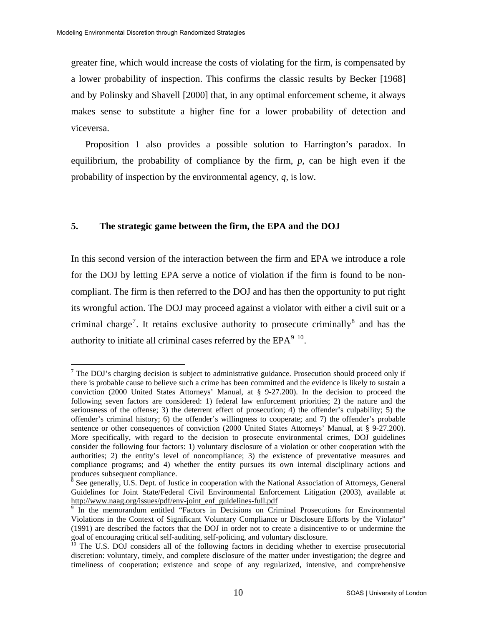$\overline{a}$ 

greater fine, which would increase the costs of violating for the firm, is compensated by a lower probability of inspection. This confirms the classic results by Becker [1968] and by Polinsky and Shavell [2000] that, in any optimal enforcement scheme, it always makes sense to substitute a higher fine for a lower probability of detection and viceversa.

Proposition 1 also provides a possible solution to Harrington's paradox. In equilibrium, the probability of compliance by the firm, *p*, can be high even if the probability of inspection by the environmental agency, *q*, is low.

### **5. The strategic game between the firm, the EPA and the DOJ**

In this second version of the interaction between the firm and EPA we introduce a role for the DOJ by letting EPA serve a notice of violation if the firm is found to be noncompliant. The firm is then referred to the DOJ and has then the opportunity to put right its wrongful action. The DOJ may proceed against a violator with either a civil suit or a criminal charge<sup>[7](#page-9-0)</sup>. It retains exclusive authority to prosecute criminally and has the authority to initiate all criminal cases referred by the  $EPA<sup>9-10</sup>$  $EPA<sup>9-10</sup>$  $EPA<sup>9-10</sup>$  $EPA<sup>9-10</sup>$  $EPA<sup>9-10</sup>$ .

<span id="page-9-0"></span> $<sup>7</sup>$  The DOJ's charging decision is subject to administrative guidance. Prosecution should proceed only if</sup> there is probable cause to believe such a crime has been committed and the evidence is likely to sustain a conviction (2000 United States Attorneys' Manual, at § 9-27.200). In the decision to proceed the following seven factors are considered: 1) federal law enforcement priorities; 2) the nature and the seriousness of the offense; 3) the deterrent effect of prosecution; 4) the offender's culpability; 5) the offender's criminal history; 6) the offender's willingness to cooperate; and 7) the offender's probable sentence or other consequences of conviction (2000 United States Attorneys' Manual, at § 9-27.200). More specifically, with regard to the decision to prosecute environmental crimes, DOJ guidelines consider the following four factors: 1) voluntary disclosure of a violation or other cooperation with the authorities; 2) the entity's level of noncompliance; 3) the existence of preventative measures and compliance programs; and 4) whether the entity pursues its own internal disciplinary actions and produces subsequent compliance.

<span id="page-9-1"></span> $\delta$  See generally, U.S. Dept. of Justice in cooperation with the National Association of Attorneys, General Guidelines for Joint State/Federal Civil Environmental Enforcement Litigation (2003), available at [http://www.naag.org/issues/pdf/env-joint\\_enf\\_guidelines-full.pdf](http://www.naag.org/issues/pdf/env-joint_enf_guidelines-full.pdf)

<span id="page-9-2"></span><sup>9</sup> In the memorandum entitled "Factors in Decisions on Criminal Prosecutions for Environmental Violations in the Context of Significant Voluntary Compliance or Disclosure Efforts by the Violator" (1991) are described the factors that the DOJ in order not to create a disincentive to or undermine the goal of encouraging critical self-auditing, self-policing, and voluntary disclosure.

<span id="page-9-3"></span><sup>&</sup>lt;sup>10</sup> The U.S. DOJ considers all of the following factors in deciding whether to exercise prosecutorial discretion: voluntary, timely, and complete disclosure of the matter under investigation; the degree and timeliness of cooperation; existence and scope of any regularized, intensive, and comprehensive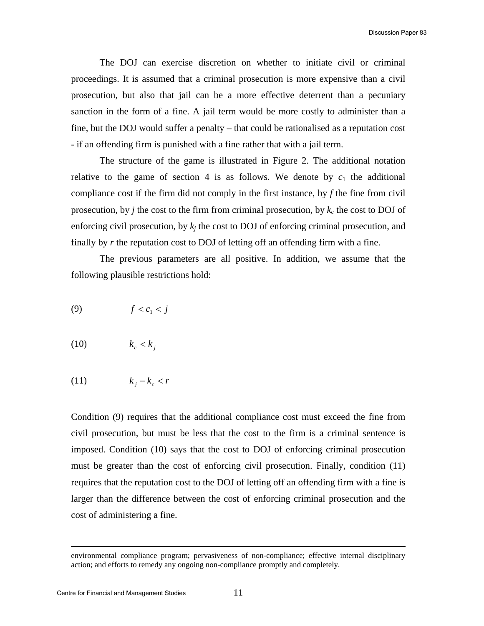The DOJ can exercise discretion on whether to initiate civil or criminal proceedings. It is assumed that a criminal prosecution is more expensive than a civil prosecution, but also that jail can be a more effective deterrent than a pecuniary sanction in the form of a fine. A jail term would be more costly to administer than a fine, but the DOJ would suffer a penalty – that could be rationalised as a reputation cost - if an offending firm is punished with a fine rather that with a jail term.

The structure of the game is illustrated in Figure 2. The additional notation relative to the game of section 4 is as follows. We denote by  $c_1$  the additional compliance cost if the firm did not comply in the first instance, by *f* the fine from civil prosecution, by *j* the cost to the firm from criminal prosecution, by  $k_c$  the cost to DOJ of enforcing civil prosecution, by *kj* the cost to DOJ of enforcing criminal prosecution, and finally by *r* the reputation cost to DOJ of letting off an offending firm with a fine.

The previous parameters are all positive. In addition, we assume that the following plausible restrictions hold:

$$
(9) \t\t f < c_1 < j
$$

$$
(10) \t\t k_c < k_j
$$

$$
(11) \t\t k_j - k_c < r
$$

Condition (9) requires that the additional compliance cost must exceed the fine from civil prosecution, but must be less that the cost to the firm is a criminal sentence is imposed. Condition (10) says that the cost to DOJ of enforcing criminal prosecution must be greater than the cost of enforcing civil prosecution. Finally, condition (11) requires that the reputation cost to the DOJ of letting off an offending firm with a fine is larger than the difference between the cost of enforcing criminal prosecution and the cost of administering a fine.

1

environmental compliance program; pervasiveness of non-compliance; effective internal disciplinary action; and efforts to remedy any ongoing non-compliance promptly and completely.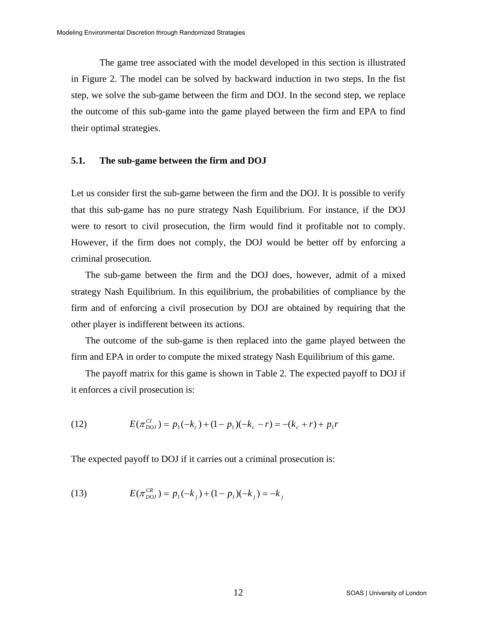The game tree associated with the model developed in this section is illustrated in Figure 2. The model can be solved by backward induction in two steps. In the fist step, we solve the sub-game between the firm and DOJ. In the second step, we replace the outcome of this sub-game into the game played between the firm and EPA to find their optimal strategies.

#### **5.1. The sub-game between the firm and DOJ**

Let us consider first the sub-game between the firm and the DOJ. It is possible to verify that this sub-game has no pure strategy Nash Equilibrium. For instance, if the DOJ were to resort to civil prosecution, the firm would find it profitable not to comply. However, if the firm does not comply, the DOJ would be better off by enforcing a criminal prosecution.

The sub-game between the firm and the DOJ does, however, admit of a mixed strategy Nash Equilibrium. In this equilibrium, the probabilities of compliance by the firm and of enforcing a civil prosecution by DOJ are obtained by requiring that the other player is indifferent between its actions.

The outcome of the sub-game is then replaced into the game played between the firm and EPA in order to compute the mixed strategy Nash Equilibrium of this game.

The payoff matrix for this game is shown in Table 2. The expected payoff to DOJ if it enforces a civil prosecution is:

(12) 
$$
E(\pi_{DOJ}^{Cl}) = p_1(-k_c) + (1 - p_1)(-k_c - r) = -(k_c + r) + p_1r
$$

The expected payoff to DOJ if it carries out a criminal prosecution is:

(13) 
$$
E(\pi_{D0J}^{CR}) = p_1(-k_j) + (1 - p_1)(-k_j) = -k_j
$$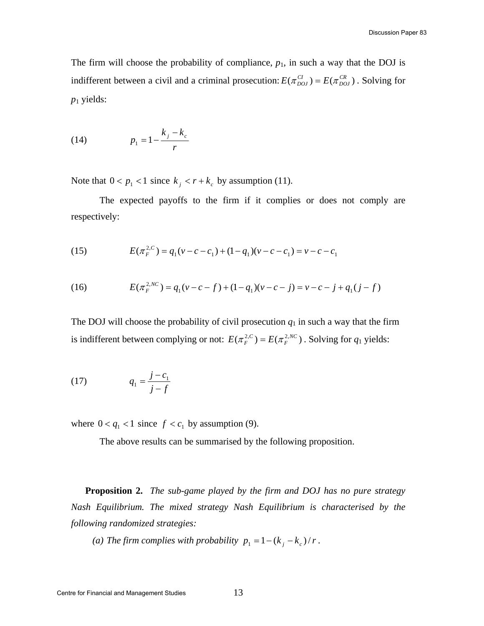The firm will choose the probability of compliance,  $p_1$ , in such a way that the DOJ is indifferent between a civil and a criminal prosecution:  $E(\pi_{DoJ}^{Cl}) = E(\pi_{DoJ}^{CR})$ . Solving for *p* 1 yields:

(14) 
$$
p_1 = 1 - \frac{k_j - k_c}{r}
$$

Note that  $0 < p_1 < 1$  since  $k_i < r + k_c$  by assumption (11).

The expected payoffs to the firm if it complies or does not comply are respectively:

(15) 
$$
E(\pi_F^{2,C}) = q_1(v-c-c_1) + (1-q_1)(v-c-c_1) = v-c-c_1
$$

(16) 
$$
E(\pi_F^{2,NC}) = q_1(v-c-f) + (1-q_1)(v-c-j) = v-c-j+q_1(j-f)
$$

The DOJ will choose the probability of civil prosecution  $q_1$  in such a way that the firm is indifferent between complying or not:  $E(\pi_F^{2,C}) = E(\pi_F^{2,NC})$ . Solving for *q*  $E(\pi_F^{2,C}) = E(\pi_F^{2,NC})$ . Solving for  $q_1$  yields:

(17) 
$$
q_1 = \frac{j - c_1}{j - f}
$$

where  $0 < q_1 < 1$  since  $f < c_1$  by assumption (9).

The above results can be summarised by the following proposition.

**Proposition 2.** *The sub-game played by the firm and DOJ has no pure strategy Nash Equilibrium. The mixed strategy Nash Equilibrium is characterised by the following randomized strategies:* 

*(a) The firm complies with probability*  $p_1 = 1 - (k_i - k_c)/r$ .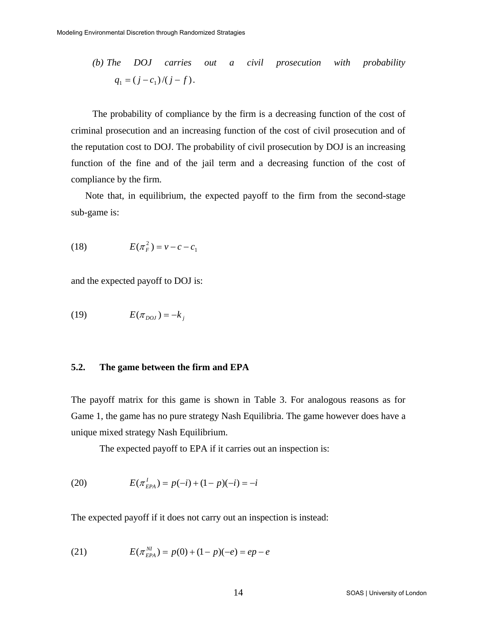(b) The *DOJ* carries out a civil *prosection* with probability 
$$
q_1 = (j - c_1)/(j - f)
$$
.

The probability of compliance by the firm is a decreasing function of the cost of criminal prosecution and an increasing function of the cost of civil prosecution and of the reputation cost to DOJ. The probability of civil prosecution by DOJ is an increasing function of the fine and of the jail term and a decreasing function of the cost of compliance by the firm.

Note that, in equilibrium, the expected payoff to the firm from the second-stage sub-game is:

(18) 
$$
E(\pi_F^2) = v - c - c_1
$$

and the expected payoff to DOJ is:

$$
(19) \qquad \qquad E(\pi_{\text{D0J}}) = -k_j
$$

### **5.2. The game between the firm and EPA**

The payoff matrix for this game is shown in Table 3. For analogous reasons as for Game 1, the game has no pure strategy Nash Equilibria. The game however does have a unique mixed strategy Nash Equilibrium.

The expected payoff to EPA if it carries out an inspection is:

(20) 
$$
E(\pi_{EPA}^l) = p(-i) + (1-p)(-i) = -i
$$

The expected payoff if it does not carry out an inspection is instead:

(21) 
$$
E(\pi_{EPA}^{Nl}) = p(0) + (1-p)(-e) = ep - e
$$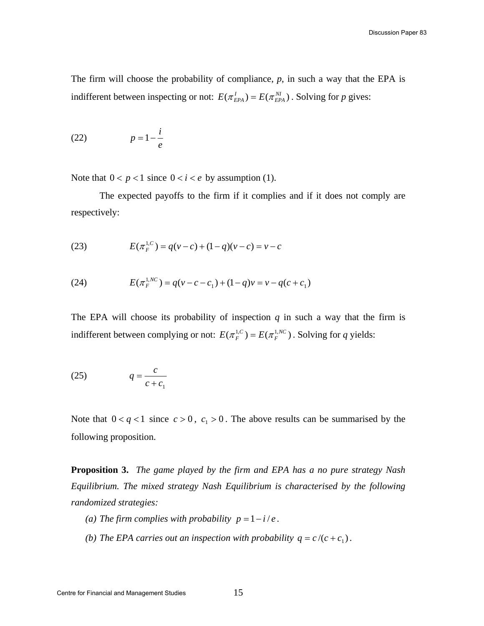The firm will choose the probability of compliance,  $p$ , in such a way that the EPA is indifferent between inspecting or not:  $E(\pi_{EPA}^I) = E(\pi_{EPA}^{NI})$ . Solving for *p* gives:  $E(\pi_{EPA}^I) = E(\pi$ 

$$
(22) \t\t\t p = 1 - \frac{i}{e}
$$

Note that  $0 < p < 1$  since  $0 < i < e$  by assumption (1).

 The expected payoffs to the firm if it complies and if it does not comply are respectively:

(23) 
$$
E(\pi_F^{1,C}) = q(v-c) + (1-q)(v-c) = v-c
$$

(24) 
$$
E(\pi_F^{1,NC}) = q(v-c-c_1) + (1-q)v = v - q(c+c_1)
$$

The EPA will choose its probability of inspection  $q$  in such a way that the firm is indifferent between complying or not:  $E(\pi_F^{1,C}) = E(\pi_F^{1,NC})$ . Solving for *q* yields:  $E(\pi_F^{1,C}) = E(\pi$ 

$$
(25) \tq = \frac{c}{c+c_1}
$$

Note that  $0 < q < 1$  since  $c > 0$ ,  $c_1 > 0$ . The above results can be summarised by the following proposition.

**Proposition 3.** *The game played by the firm and EPA has a no pure strategy Nash Equilibrium. The mixed strategy Nash Equilibrium is characterised by the following randomized strategies:* 

- *(a) The firm complies with probability*  $p = 1 i/e$ .
- *(b) The EPA carries out an inspection with probability*  $q = c/(c + c_1)$ *.*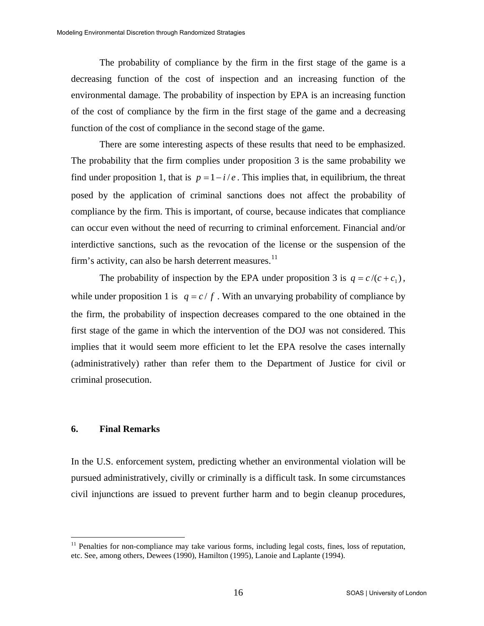The probability of compliance by the firm in the first stage of the game is a decreasing function of the cost of inspection and an increasing function of the environmental damage. The probability of inspection by EPA is an increasing function of the cost of compliance by the firm in the first stage of the game and a decreasing function of the cost of compliance in the second stage of the game.

There are some interesting aspects of these results that need to be emphasized. The probability that the firm complies under proposition 3 is the same probability we find under proposition 1, that is  $p = 1 - i/e$ . This implies that, in equilibrium, the threat posed by the application of criminal sanctions does not affect the probability of compliance by the firm. This is important, of course, because indicates that compliance can occur even without the need of recurring to criminal enforcement. Financial and/or interdictive sanctions, such as the revocation of the license or the suspension of the firm's activity, can also be harsh deterrent measures. $^{11}$  $^{11}$  $^{11}$ 

The probability of inspection by the EPA under proposition 3 is  $q = c/(c + c_1)$ , while under proposition 1 is  $q = c/f$ . With an unvarying probability of compliance by the firm, the probability of inspection decreases compared to the one obtained in the first stage of the game in which the intervention of the DOJ was not considered. This implies that it would seem more efficient to let the EPA resolve the cases internally (administratively) rather than refer them to the Department of Justice for civil or criminal prosecution.

#### **6. Final Remarks**

 $\overline{a}$ 

In the U.S. enforcement system, predicting whether an environmental violation will be pursued administratively, civilly or criminally is a difficult task. In some circumstances civil injunctions are issued to prevent further harm and to begin cleanup procedures,

<span id="page-15-0"></span> $11$  Penalties for non-compliance may take various forms, including legal costs, fines, loss of reputation, etc. See, among others, Dewees (1990), Hamilton (1995), Lanoie and Laplante (1994).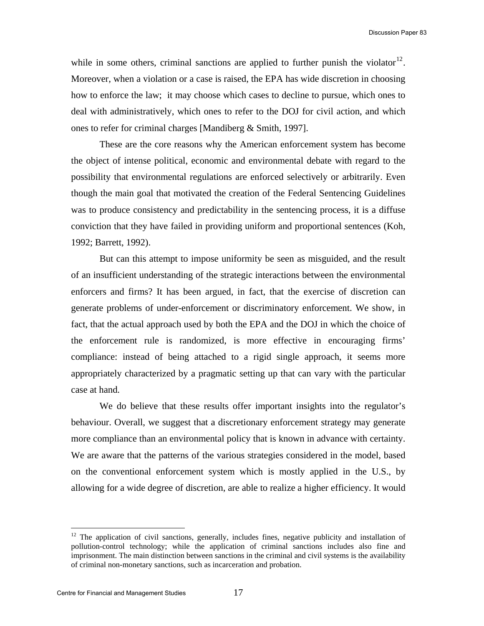while in some others, criminal sanctions are applied to further punish the violator<sup>[12](#page-16-0)</sup>. Moreover, when a violation or a case is raised, the EPA has wide discretion in choosing how to enforce the law; it may choose which cases to decline to pursue, which ones to deal with administratively, which ones to refer to the DOJ for civil action, and which ones to refer for criminal charges [Mandiberg & Smith, 1997].

These are the core reasons why the American enforcement system has become the object of intense political, economic and environmental debate with regard to the possibility that environmental regulations are enforced selectively or arbitrarily. Even though the main goal that motivated the creation of the Federal Sentencing Guidelines was to produce consistency and predictability in the sentencing process, it is a diffuse conviction that they have failed in providing uniform and proportional sentences (Koh, 1992; Barrett, 1992).

But can this attempt to impose uniformity be seen as misguided, and the result of an insufficient understanding of the strategic interactions between the environmental enforcers and firms? It has been argued, in fact, that the exercise of discretion can generate problems of under-enforcement or discriminatory enforcement. We show, in fact, that the actual approach used by both the EPA and the DOJ in which the choice of the enforcement rule is randomized, is more effective in encouraging firms' compliance: instead of being attached to a rigid single approach, it seems more appropriately characterized by a pragmatic setting up that can vary with the particular case at hand.

 We do believe that these results offer important insights into the regulator's behaviour. Overall, we suggest that a discretionary enforcement strategy may generate more compliance than an environmental policy that is known in advance with certainty. We are aware that the patterns of the various strategies considered in the model, based on the conventional enforcement system which is mostly applied in the U.S., by allowing for a wide degree of discretion, are able to realize a higher efficiency. It would

 $\overline{a}$ 

<span id="page-16-0"></span> $12$  The application of civil sanctions, generally, includes fines, negative publicity and installation of pollution-control technology; while the application of criminal sanctions includes also fine and imprisonment. The main distinction between sanctions in the criminal and civil systems is the availability of criminal non-monetary sanctions, such as incarceration and probation.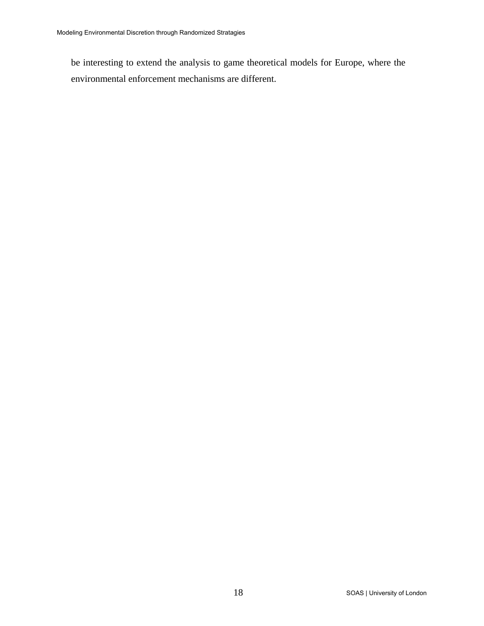be interesting to extend the analysis to game theoretical models for Europe, where the environmental enforcement mechanisms are different.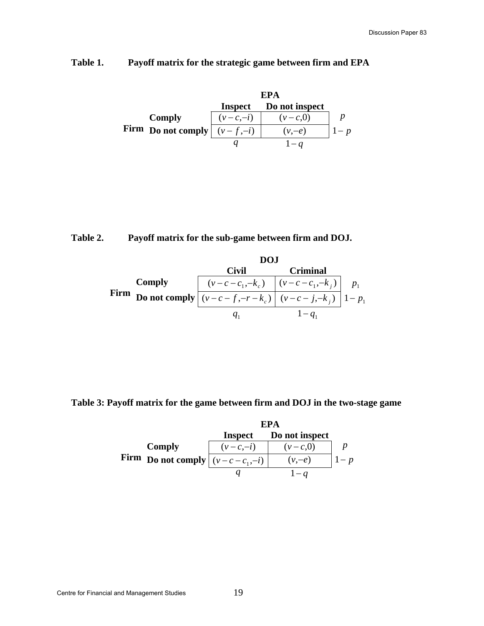### **Table 1. Payoff matrix for the strategic game between firm and EPA**

|  |                                         | EPA        |                |       |
|--|-----------------------------------------|------------|----------------|-------|
|  |                                         | Inspect    | Do not inspect |       |
|  | Comply                                  | $(v-c,-i)$ | $(v - c, 0)$   |       |
|  | <b>Firm</b> Do not comply $(v - f, -i)$ |            | $(v,-e)$       | $1-p$ |
|  |                                         |            | $- a$          |       |

### **Table 2. Payoff matrix for the sub-game between firm and DOJ.**



#### **Table 3: Payoff matrix for the game between firm and DOJ in the two-stage game**

|  |                                          | EPA        |                |       |
|--|------------------------------------------|------------|----------------|-------|
|  |                                          | Inspect    | Do not inspect |       |
|  | Comply                                   | $(v-c,-i)$ | $(v - c, 0)$   |       |
|  | <b>Firm</b> Do not comply $(v-c-c_1,-i)$ |            | $(v,-e)$       | $1-p$ |
|  |                                          |            | $1 - a$        |       |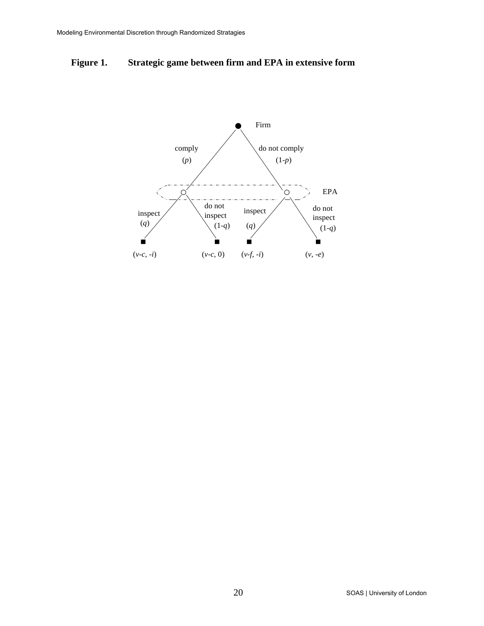**Figure 1. Strategic game between firm and EPA in extensive form** 

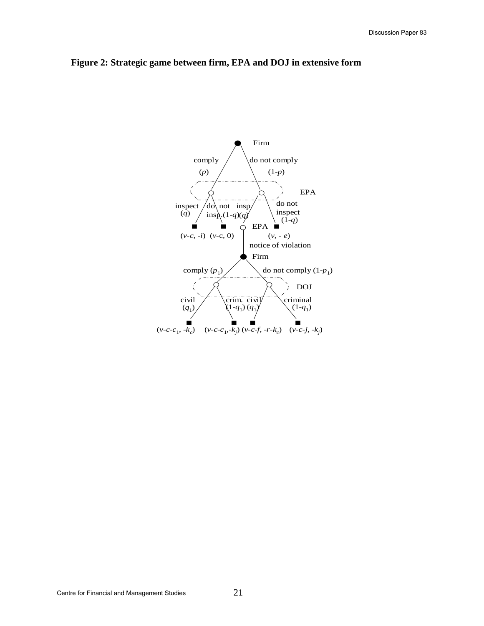## **Figure 2: Strategic game between firm, EPA and DOJ in extensive form**

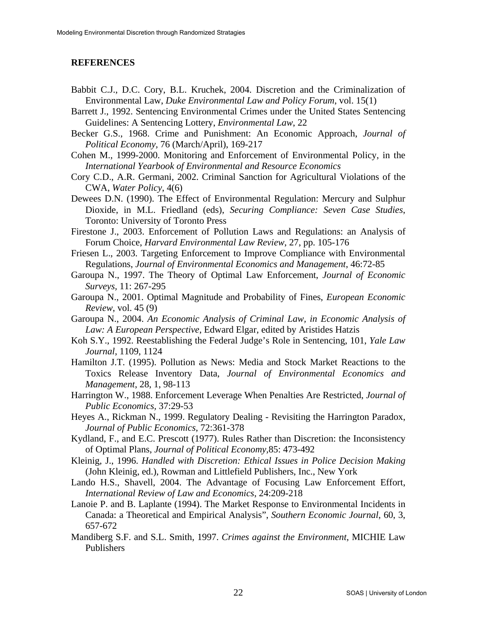### **REFERENCES**

- Babbit C.J., D.C. Cory, B.L. Kruchek, 2004. Discretion and the Criminalization of Environmental Law, *Duke Environmental Law and Policy Forum*, vol. 15(1)
- Barrett J., 1992. Sentencing Environmental Crimes under the United States Sentencing Guidelines: A Sentencing Lottery, *Environmental Law*, 22
- Becker G.S., 1968. Crime and Punishment: An Economic Approach, *Journal of Political Economy,* 76 (March/April), 169-217
- Cohen M., 1999-2000. Monitoring and Enforcement of Environmental Policy, in the *International Yearbook of Environmental and Resource Economics*
- Cory C.D., A.R. Germani, 2002. Criminal Sanction for Agricultural Violations of the CWA, *Water Policy*, 4(6)
- Dewees D.N. (1990). The Effect of Environmental Regulation: Mercury and Sulphur Dioxide, in M.L. Friedland (eds), *Securing Compliance: Seven Case Studies*, Toronto: University of Toronto Press
- Firestone J., 2003. Enforcement of Pollution Laws and Regulations: an Analysis of Forum Choice, *Harvard Environmental Law Review*, 27, pp. 105-176
- Friesen L., 2003. Targeting Enforcement to Improve Compliance with Environmental Regulations, *Journal of Environmental Economics and Management*, 46:72-85
- Garoupa N., 1997. The Theory of Optimal Law Enforcement, *Journal of Economic Surveys,* 11: 267-295
- Garoupa N., 2001. Optimal Magnitude and Probability of Fines, *European Economic Review*, vol. 45 (9)
- Garoupa N., 2004. *An Economic Analysis of Criminal Law, in Economic Analysis of Law: A European Perspective*, Edward Elgar, edited by Aristides Hatzis
- Koh S.Y., 1992. Reestablishing the Federal Judge's Role in Sentencing, 101, *Yale Law Journal*, 1109, 1124
- Hamilton J.T. (1995). Pollution as News: Media and Stock Market Reactions to the Toxics Release Inventory Data, *Journal of Environmental Economics and Management*, 28, 1, 98-113
- Harrington W., 1988. Enforcement Leverage When Penalties Are Restricted, *Journal of Public Economics,* 37:29-53
- Heyes A., Rickman N., 1999. Regulatory Dealing Revisiting the Harrington Paradox, *Journal of Public Economics*, 72:361-378
- [Kydland, F.,](http://en.wikipedia.org/wiki/Finn_Kydland) and E.C. Prescott [\(1977](http://en.wikipedia.org/wiki/1977)). Rules Rather than Discretion: the Inconsistency of Optimal Plans, *[Journal of Political Economy,](http://en.wikipedia.org/wiki/Journal_of_Political_Economy)*85: 473-492
- Kleinig, J., 1996. *Handled with Discretion: Ethical Issues in Police Decision Making* (John Kleinig, ed.), Rowman and Littlefield Publishers, Inc., New York
- Lando H.S., Shavell, 2004. The Advantage of Focusing Law Enforcement Effort, *International Review of Law and Economics*, 24:209-218
- Lanoie P. and B. Laplante (1994). The Market Response to Environmental Incidents in Canada: a Theoretical and Empirical Analysis", *Southern Economic Journal*, 60, 3, 657-672
- Mandiberg S.F. and S.L. Smith, 1997. *Crimes against the Environment*, MICHIE Law Publishers